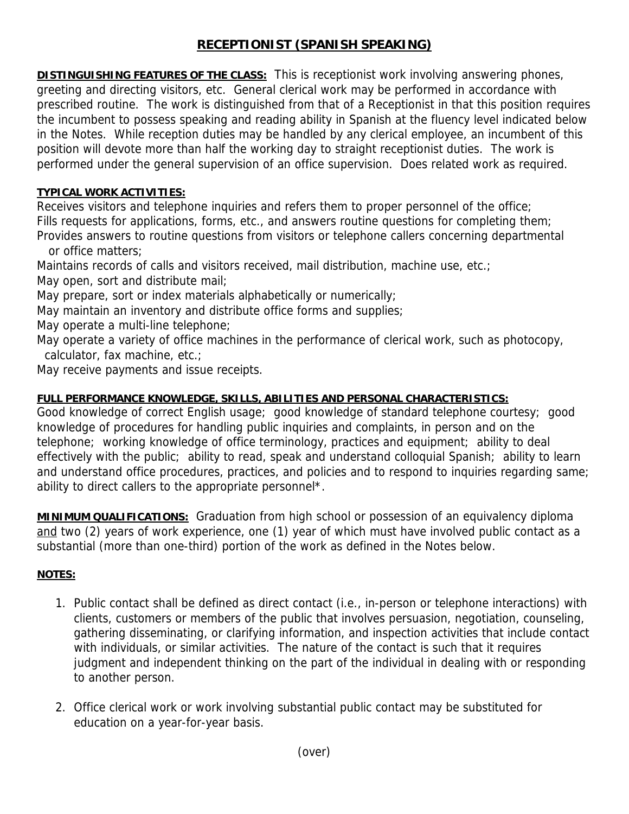## **RECEPTIONIST (SPANISH SPEAKING)**

**DISTINGUISHING FEATURES OF THE CLASS:** This is receptionist work involving answering phones, greeting and directing visitors, etc. General clerical work may be performed in accordance with prescribed routine. The work is distinguished from that of a Receptionist in that this position requires the incumbent to possess speaking and reading ability in Spanish at the fluency level indicated below in the Notes. While reception duties may be handled by any clerical employee, an incumbent of this position will devote more than half the working day to straight receptionist duties. The work is performed under the general supervision of an office supervision. Does related work as required.

## **TYPICAL WORK ACTIVITIES:**

Receives visitors and telephone inquiries and refers them to proper personnel of the office; Fills requests for applications, forms, etc., and answers routine questions for completing them;

Provides answers to routine questions from visitors or telephone callers concerning departmental or office matters;

Maintains records of calls and visitors received, mail distribution, machine use, etc.; May open, sort and distribute mail;

May prepare, sort or index materials alphabetically or numerically;

May maintain an inventory and distribute office forms and supplies;

May operate a multi-line telephone;

May operate a variety of office machines in the performance of clerical work, such as photocopy, calculator, fax machine, etc.;

May receive payments and issue receipts.

## **FULL PERFORMANCE KNOWLEDGE, SKILLS, ABILITIES AND PERSONAL CHARACTERISTICS:**

Good knowledge of correct English usage; good knowledge of standard telephone courtesy; good knowledge of procedures for handling public inquiries and complaints, in person and on the telephone; working knowledge of office terminology, practices and equipment; ability to deal effectively with the public; ability to read, speak and understand colloquial Spanish; ability to learn and understand office procedures, practices, and policies and to respond to inquiries regarding same; ability to direct callers to the appropriate personnel\*.

**MINIMUM QUALIFICATIONS:** Graduation from high school or possession of an equivalency diploma and two (2) years of work experience, one (1) year of which must have involved public contact as a substantial (more than one-third) portion of the work as defined in the Notes below.

## **NOTES:**

- 1. Public contact shall be defined as direct contact (i.e., in-person or telephone interactions) with clients, customers or members of the public that involves persuasion, negotiation, counseling, gathering disseminating, or clarifying information, and inspection activities that include contact with individuals, or similar activities. The nature of the contact is such that it requires judgment and independent thinking on the part of the individual in dealing with or responding to another person.
- 2. Office clerical work or work involving substantial public contact may be substituted for education on a year-for-year basis.